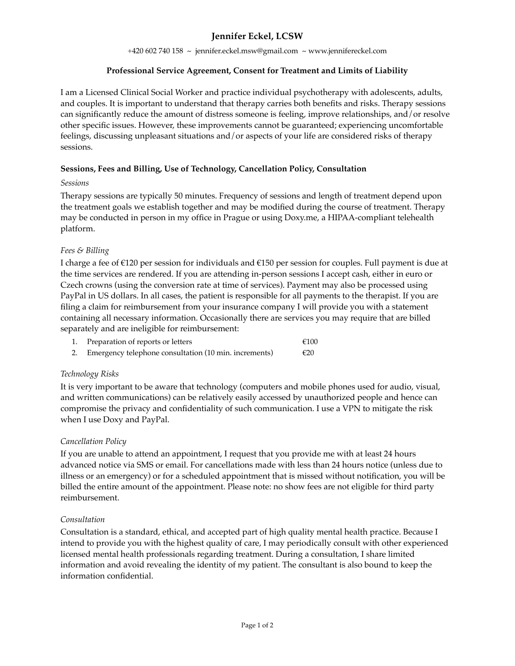# **Jennifer Eckel, LCSW**

+420 602 740 158 ~ jennifer.eckel.msw@gmail.com ~ [www.jennifereckel.com](http://www.jennifereckel.com) 

# **Professional Service Agreement, Consent for Treatment and Limits of Liability**

I am a Licensed Clinical Social Worker and practice individual psychotherapy with adolescents, adults, and couples. It is important to understand that therapy carries both benefits and risks. Therapy sessions can significantly reduce the amount of distress someone is feeling, improve relationships, and/or resolve other specific issues. However, these improvements cannot be guaranteed; experiencing uncomfortable feelings, discussing unpleasant situations and/or aspects of your life are considered risks of therapy sessions.

# **Sessions, Fees and Billing, Use of Technology, Cancellation Policy, Consultation**

#### *Sessions*

Therapy sessions are typically 50 minutes. Frequency of sessions and length of treatment depend upon the treatment goals we establish together and may be modified during the course of treatment. Therapy may be conducted in person in my office in Prague or using Doxy.me, a HIPAA-compliant telehealth platform.

## *Fees & Billing*

I charge a fee of €120 per session for individuals and €150 per session for couples. Full payment is due at the time services are rendered. If you are attending in-person sessions I accept cash, either in euro or Czech crowns (using the conversion rate at time of services). Payment may also be processed using PayPal in US dollars. In all cases, the patient is responsible for all payments to the therapist. If you are filing a claim for reimbursement from your insurance company I will provide you with a statement containing all necessary information. Occasionally there are services you may require that are billed separately and are ineligible for reimbursement:

|    | Preparation of reports or letters                     | €100 |
|----|-------------------------------------------------------|------|
| 2. | Emergency telephone consultation (10 min. increments) | €20  |

# *Technology Risks*

It is very important to be aware that technology (computers and mobile phones used for audio, visual, and written communications) can be relatively easily accessed by unauthorized people and hence can compromise the privacy and confidentiality of such communication. I use a VPN to mitigate the risk when I use Doxy and PayPal.

# *Cancellation Policy*

If you are unable to attend an appointment, I request that you provide me with at least 24 hours advanced notice via SMS or email. For cancellations made with less than 24 hours notice (unless due to illness or an emergency) or for a scheduled appointment that is missed without notification, you will be billed the entire amount of the appointment. Please note: no show fees are not eligible for third party reimbursement.

#### *Consultation*

Consultation is a standard, ethical, and accepted part of high quality mental health practice. Because I intend to provide you with the highest quality of care, I may periodically consult with other experienced licensed mental health professionals regarding treatment. During a consultation, I share limited information and avoid revealing the identity of my patient. The consultant is also bound to keep the information confidential.